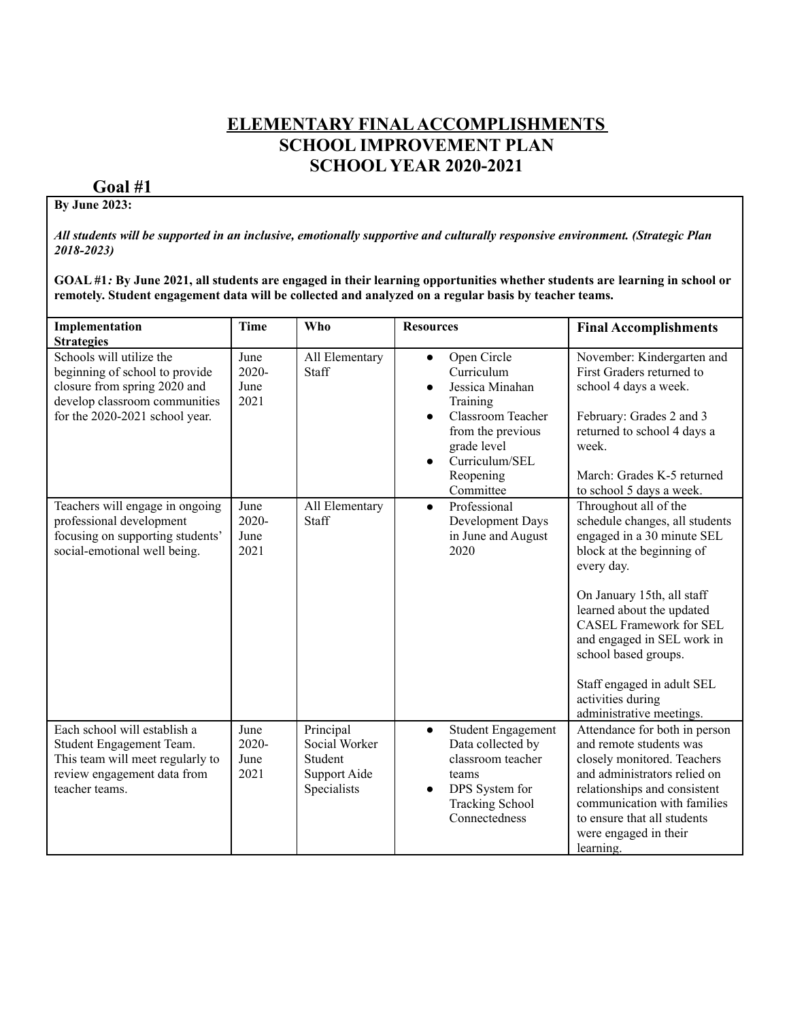### **ELEMENTARY FINALACCOMPLISHMENTS SCHOOL IMPROVEMENT PLAN SCHOOL YEAR 2020-2021**

# **Goal #1**

#### **By June 2023:**

All students will be supported in an inclusive, emotionally supportive and culturally responsive environment. (Strategic Plan *2018-2023)*

GOAL #1: By June 2021, all students are engaged in their learning opportunities whether students are learning in school or **remotely. Student engagement data will be collected and analyzed on a regular basis by teacher teams.**

| Implementation<br><b>Strategies</b>                                                                                                                           | <b>Time</b>                   | <b>Who</b>                                                           | <b>Resources</b>                                                                                                                                                                               | <b>Final Accomplishments</b>                                                                                                                                                                                                                                                                                                                                       |
|---------------------------------------------------------------------------------------------------------------------------------------------------------------|-------------------------------|----------------------------------------------------------------------|------------------------------------------------------------------------------------------------------------------------------------------------------------------------------------------------|--------------------------------------------------------------------------------------------------------------------------------------------------------------------------------------------------------------------------------------------------------------------------------------------------------------------------------------------------------------------|
| Schools will utilize the<br>beginning of school to provide<br>closure from spring 2020 and<br>develop classroom communities<br>for the 2020-2021 school year. | June<br>2020-<br>June<br>2021 | All Elementary<br>Staff                                              | Open Circle<br>$\bullet$<br>Curriculum<br>Jessica Minahan<br>$\bullet$<br>Training<br><b>Classroom Teacher</b><br>from the previous<br>grade level<br>Curriculum/SEL<br>Reopening<br>Committee | November: Kindergarten and<br>First Graders returned to<br>school 4 days a week.<br>February: Grades 2 and 3<br>returned to school 4 days a<br>week.<br>March: Grades K-5 returned<br>to school 5 days a week.                                                                                                                                                     |
| Teachers will engage in ongoing<br>professional development<br>focusing on supporting students'<br>social-emotional well being.                               | June<br>2020-<br>June<br>2021 | All Elementary<br>Staff                                              | Professional<br>$\bullet$<br>Development Days<br>in June and August<br>2020                                                                                                                    | Throughout all of the<br>schedule changes, all students<br>engaged in a 30 minute SEL<br>block at the beginning of<br>every day.<br>On January 15th, all staff<br>learned about the updated<br><b>CASEL Framework for SEL</b><br>and engaged in SEL work in<br>school based groups.<br>Staff engaged in adult SEL<br>activities during<br>administrative meetings. |
| Each school will establish a<br>Student Engagement Team.<br>This team will meet regularly to<br>review engagement data from<br>teacher teams.                 | June<br>2020-<br>June<br>2021 | Principal<br>Social Worker<br>Student<br>Support Aide<br>Specialists | <b>Student Engagement</b><br>$\bullet$<br>Data collected by<br>classroom teacher<br>teams<br>DPS System for<br>$\bullet$<br><b>Tracking School</b><br>Connectedness                            | Attendance for both in person<br>and remote students was<br>closely monitored. Teachers<br>and administrators relied on<br>relationships and consistent<br>communication with families<br>to ensure that all students<br>were engaged in their<br>learning.                                                                                                        |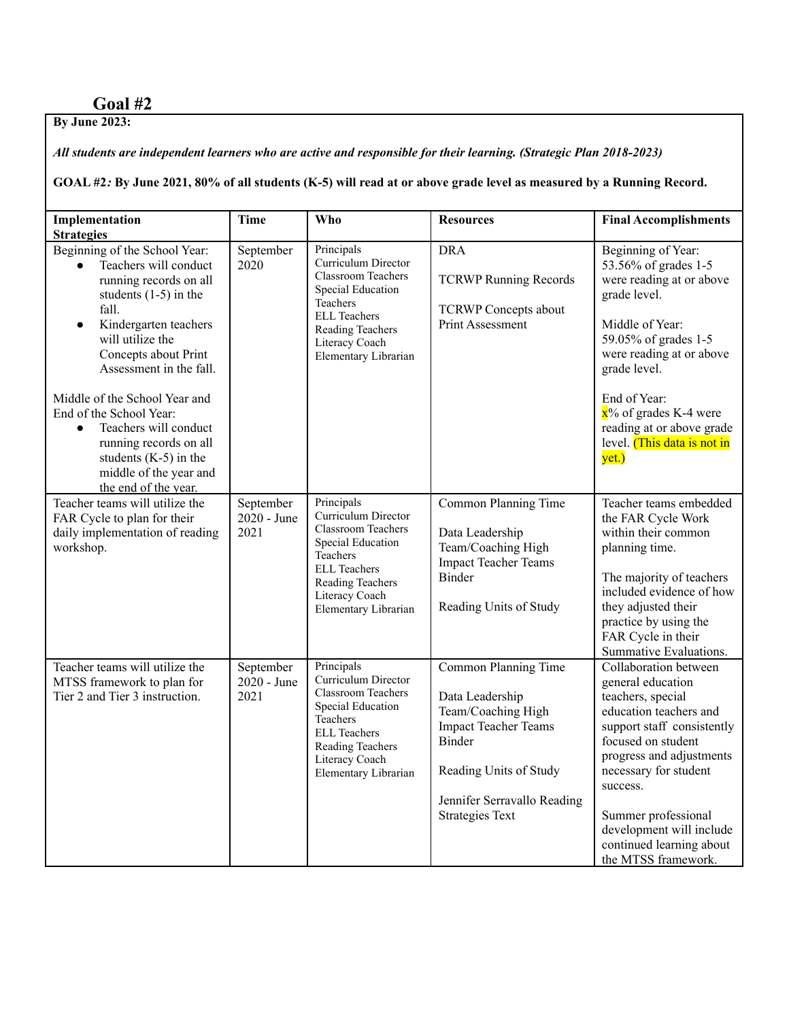## **Goal #2**

**By June 2023:**

All students are independent learners who are active and responsible for their learning. (Strategic Plan 2018-2023)

GOAL #2: By June 2021, 80% of all students (K-5) will read at or above grade level as measured by a Running Record.

| Implementation<br><b>Strategies</b>                                                                                                                                                                                                                                                                                                                                                                                                                     | <b>Time</b>                      | <b>Who</b>                                                                                                                                                                           | <b>Resources</b>                                                                                                                                                                          | <b>Final Accomplishments</b>                                                                                                                                                                                                                                                                                         |
|---------------------------------------------------------------------------------------------------------------------------------------------------------------------------------------------------------------------------------------------------------------------------------------------------------------------------------------------------------------------------------------------------------------------------------------------------------|----------------------------------|--------------------------------------------------------------------------------------------------------------------------------------------------------------------------------------|-------------------------------------------------------------------------------------------------------------------------------------------------------------------------------------------|----------------------------------------------------------------------------------------------------------------------------------------------------------------------------------------------------------------------------------------------------------------------------------------------------------------------|
| Beginning of the School Year:<br>Teachers will conduct<br>$\bullet$<br>running records on all<br>students $(1-5)$ in the<br>fall.<br>Kindergarten teachers<br>$\bullet$<br>will utilize the<br>Concepts about Print<br>Assessment in the fall.<br>Middle of the School Year and<br>End of the School Year:<br>Teachers will conduct<br>$\bullet$<br>running records on all<br>students $(K-5)$ in the<br>middle of the year and<br>the end of the year. | September<br>2020                | Principals<br>Curriculum Director<br><b>Classroom Teachers</b><br>Special Education<br>Teachers<br><b>ELL Teachers</b><br>Reading Teachers<br>Literacy Coach<br>Elementary Librarian | <b>DRA</b><br><b>TCRWP Running Records</b><br><b>TCRWP</b> Concepts about<br>Print Assessment                                                                                             | Beginning of Year:<br>53.56% of grades 1-5<br>were reading at or above<br>grade level.<br>Middle of Year:<br>59.05% of grades 1-5<br>were reading at or above<br>grade level.<br>End of Year:<br>$\mathbf{x}^{\prime\prime}$ of grades K-4 were<br>reading at or above grade<br>level. (This data is not in<br>yet.) |
| Teacher teams will utilize the<br>FAR Cycle to plan for their<br>daily implementation of reading<br>workshop.                                                                                                                                                                                                                                                                                                                                           | September<br>2020 - June<br>2021 | Principals<br>Curriculum Director<br><b>Classroom Teachers</b><br>Special Education<br>Teachers<br><b>ELL Teachers</b><br>Reading Teachers<br>Literacy Coach<br>Elementary Librarian | Common Planning Time<br>Data Leadership<br>Team/Coaching High<br><b>Impact Teacher Teams</b><br>Binder<br>Reading Units of Study                                                          | Teacher teams embedded<br>the FAR Cycle Work<br>within their common<br>planning time.<br>The majority of teachers<br>included evidence of how<br>they adjusted their<br>practice by using the<br>FAR Cycle in their<br>Summative Evaluations.                                                                        |
| Teacher teams will utilize the<br>MTSS framework to plan for<br>Tier 2 and Tier 3 instruction.                                                                                                                                                                                                                                                                                                                                                          | September<br>2020 - June<br>2021 | Principals<br>Curriculum Director<br><b>Classroom Teachers</b><br>Special Education<br>Teachers<br><b>ELL Teachers</b><br>Reading Teachers<br>Literacy Coach<br>Elementary Librarian | Common Planning Time<br>Data Leadership<br>Team/Coaching High<br><b>Impact Teacher Teams</b><br>Binder<br>Reading Units of Study<br>Jennifer Serravallo Reading<br><b>Strategies Text</b> | Collaboration between<br>general education<br>teachers, special<br>education teachers and<br>support staff consistently<br>focused on student<br>progress and adjustments<br>necessary for student<br>success.<br>Summer professional<br>development will include<br>continued learning about<br>the MTSS framework. |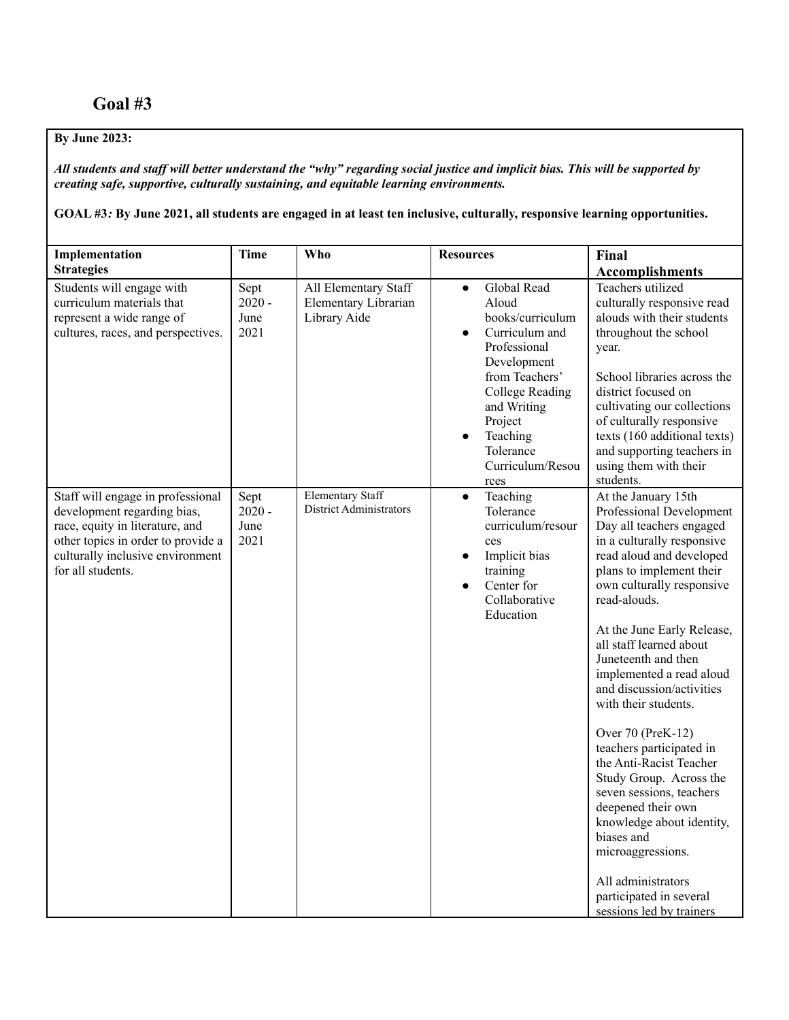### **By June 2023:**

All students and staff will better understand the "why" regarding social justice and implicit bias. This will be supported by *creating safe, supportive, culturally sustaining, and equitable learning environments.*

GOAL #3: By June 2021, all students are engaged in at least ten inclusive, culturally, responsive learning opportunities.

| Implementation                                                                                                                                                                                     | <b>Time</b>                      | Who                                                          | <b>Resources</b>                                                                                                                                                                                                                  | Final                                                                                                                                                                                                                                                                                                                                                                                                                                                                                                                                                                                                                                                                                 |
|----------------------------------------------------------------------------------------------------------------------------------------------------------------------------------------------------|----------------------------------|--------------------------------------------------------------|-----------------------------------------------------------------------------------------------------------------------------------------------------------------------------------------------------------------------------------|---------------------------------------------------------------------------------------------------------------------------------------------------------------------------------------------------------------------------------------------------------------------------------------------------------------------------------------------------------------------------------------------------------------------------------------------------------------------------------------------------------------------------------------------------------------------------------------------------------------------------------------------------------------------------------------|
| <b>Strategies</b>                                                                                                                                                                                  |                                  |                                                              |                                                                                                                                                                                                                                   | <b>Accomplishments</b>                                                                                                                                                                                                                                                                                                                                                                                                                                                                                                                                                                                                                                                                |
| Students will engage with<br>curriculum materials that<br>represent a wide range of<br>cultures, races, and perspectives.                                                                          | Sept<br>$2020 -$<br>June<br>2021 | All Elementary Staff<br>Elementary Librarian<br>Library Aide | Global Read<br>$\bullet$<br>Aloud<br>books/curriculum<br>Curriculum and<br>Professional<br>Development<br>from Teachers'<br><b>College Reading</b><br>and Writing<br>Project<br>Teaching<br>Tolerance<br>Curriculum/Resou<br>rces | Teachers utilized<br>culturally responsive read<br>alouds with their students<br>throughout the school<br>year.<br>School libraries across the<br>district focused on<br>cultivating our collections<br>of culturally responsive<br>texts (160 additional texts)<br>and supporting teachers in<br>using them with their<br>students.                                                                                                                                                                                                                                                                                                                                                  |
| Staff will engage in professional<br>development regarding bias,<br>race, equity in literature, and<br>other topics in order to provide a<br>culturally inclusive environment<br>for all students. | Sept<br>$2020 -$<br>June<br>2021 | <b>Elementary Staff</b><br>District Administrators           | Teaching<br>$\bullet$<br>Tolerance<br>curriculum/resour<br>ces<br>Implicit bias<br>training<br>Center for<br>$\bullet$<br>Collaborative<br>Education                                                                              | At the January 15th<br>Professional Development<br>Day all teachers engaged<br>in a culturally responsive<br>read aloud and developed<br>plans to implement their<br>own culturally responsive<br>read-alouds.<br>At the June Early Release,<br>all staff learned about<br>Juneteenth and then<br>implemented a read aloud<br>and discussion/activities<br>with their students.<br>Over 70 (PreK-12)<br>teachers participated in<br>the Anti-Racist Teacher<br>Study Group. Across the<br>seven sessions, teachers<br>deepened their own<br>knowledge about identity,<br>biases and<br>microaggressions.<br>All administrators<br>participated in several<br>sessions led by trainers |